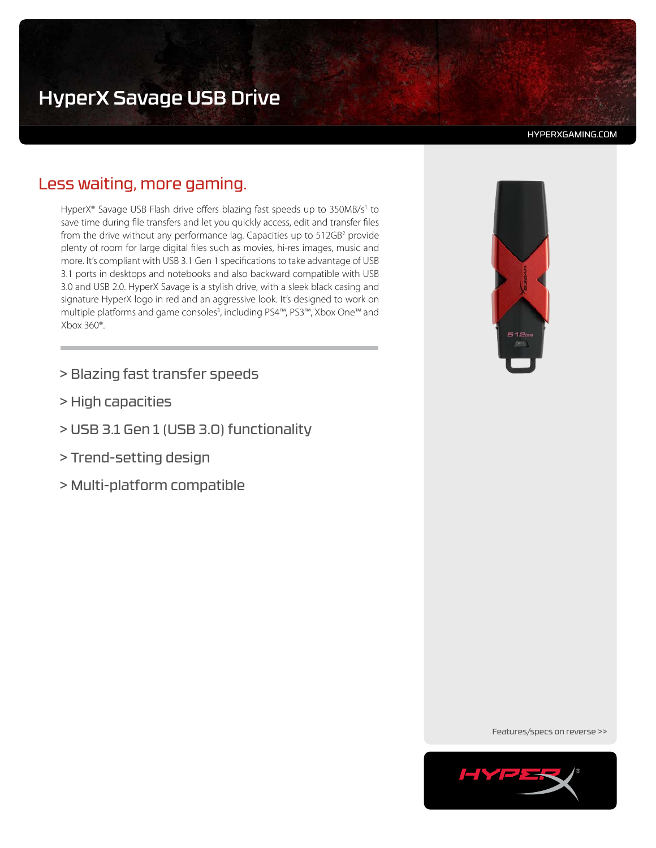# HyperX Savage USB Drive

#### HYPERXGAMING.COM

# Less waiting, more gaming.

HyperX® Savage USB Flash drive offers blazing fast speeds up to 350MB/s<sup>1</sup> to save time during file transfers and let you quickly access, edit and transfer files from the drive without any performance lag. Capacities up to 512GB<sup>2</sup> provide plenty of room for large digital files such as movies, hi-res images, music and more. It's compliant with USB 3.1 Gen 1 specifications to take advantage of USB 3.1 ports in desktops and notebooks and also backward compatible with USB 3.0 and USB 2.0. HyperX Savage is a stylish drive, with a sleek black casing and signature HyperX logo in red and an aggressive look. It's designed to work on multiple platforms and game consoles<sup>3</sup>, including PS4<sup>™</sup>, PS3™, Xbox One™ and Xbox 360®.

- > Blazing fast transfer speeds
- > High capacities
- > USB 3.1 Gen 1 (USB 3.0) functionality
- > Trend-setting design
- > Multi-platform compatible



Features/specs on reverse >>